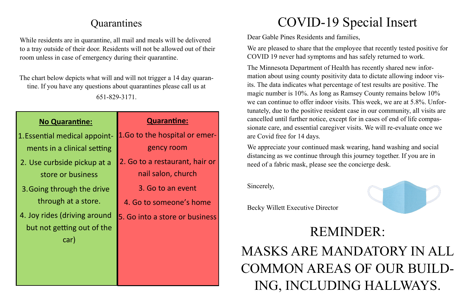| <b>Quarantine:</b>                                   |
|------------------------------------------------------|
| 1.Go to the hospital or emer-                        |
| gency room                                           |
| 2. Go to a restaurant, hair or<br>nail salon, church |
| 3. Go to an event                                    |
| 4. Go to someone's home                              |
| 5. Go into a store or business                       |
|                                                      |
|                                                      |

### **No Quarantine:**

- 1.Essential medical appointments in a clinical setting
- 2. Use curbside pickup at a store or business
- 3.Going through the drive through at a store.
- 4. Joy rides (driving around but not getting out of the car)

The chart below depicts what will and will not trigger a 14 day quarantine. If you have any questions about quarantines please call us at 651-829-3171.

## **Quarantines**

While residents are in quarantine, all mail and meals will be delivered to a tray outside of their door. Residents will not be allowed out of their room unless in case of emergency during their quarantine.

# COVID-19 Special Insert

Dear Gable Pines Residents and families, We are pleased to share that the employee that recently tested positive for COVID 19 never had symptoms and has safely returned to work.

The Minnesota Department of Health has recently shared new information about using county positivity data to dictate allowing indoor visits. The data indicates what percentage of test results are positive. The magic number is 10%. As long as Ramsey County remains below 10% we can continue to offer indoor visits. This week, we are at 5.8%. Unfortunately, due to the positive resident case in our community, all visits are cancelled until further notice, except for in cases of end of life compassionate care, and essential caregiver visits. We will re-evaluate once we are Covid free for 14 days.

We appreciate your continued mask wearing, hand washing and social distancing as we continue through this journey together. If you are in need of a fabric mask, please see the concierge desk.

Sincerely,

Becky Willett Executive Director

# REMINDER: MASKS ARE MANDATORY IN ALL COMMON AREAS OF OUR BUILD-ING, INCLUDING HALLWAYS.